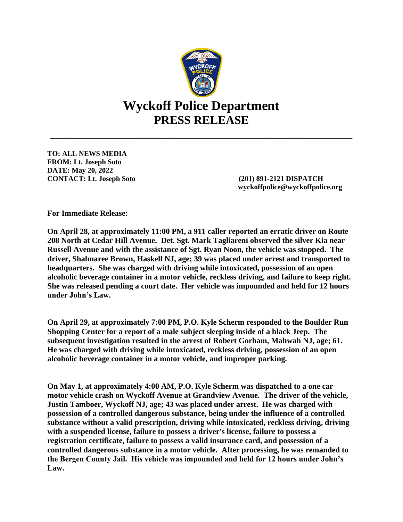

**TO: ALL NEWS MEDIA FROM: Lt. Joseph Soto DATE: May 20, 2022 CONTACT: Lt. Joseph Soto (201) 891-2121 DISPATCH**

 **wyckoffpolice@wyckoffpolice.org**

**For Immediate Release:**

**On April 28, at approximately 11:00 PM, a 911 caller reported an erratic driver on Route 208 North at Cedar Hill Avenue. Det. Sgt. Mark Tagliareni observed the silver Kia near Russell Avenue and with the assistance of Sgt. Ryan Noon, the vehicle was stopped. The driver, Shalmaree Brown, Haskell NJ, age; 39 was placed under arrest and transported to headquarters. She was charged with driving while intoxicated, possession of an open alcoholic beverage container in a motor vehicle, reckless driving, and failure to keep right. She was released pending a court date. Her vehicle was impounded and held for 12 hours under John's Law.**

**On April 29, at approximately 7:00 PM, P.O. Kyle Scherm responded to the Boulder Run Shopping Center for a report of a male subject sleeping inside of a black Jeep. The subsequent investigation resulted in the arrest of Robert Gorham, Mahwah NJ, age; 61. He was charged with driving while intoxicated, reckless driving, possession of an open alcoholic beverage container in a motor vehicle, and improper parking.**

**On May 1, at approximately 4:00 AM, P.O. Kyle Scherm was dispatched to a one car motor vehicle crash on Wyckoff Avenue at Grandview Avenue. The driver of the vehicle, Justin Tamboer, Wyckoff NJ, age; 43 was placed under arrest. He was charged with possession of a controlled dangerous substance, being under the influence of a controlled substance without a valid prescription, driving while intoxicated, reckless driving, driving with a suspended license, failure to possess a driver's license, failure to possess a registration certificate, failure to possess a valid insurance card, and possession of a controlled dangerous substance in a motor vehicle. After processing, he was remanded to the Bergen County Jail. His vehicle was impounded and held for 12 hours under John's Law.**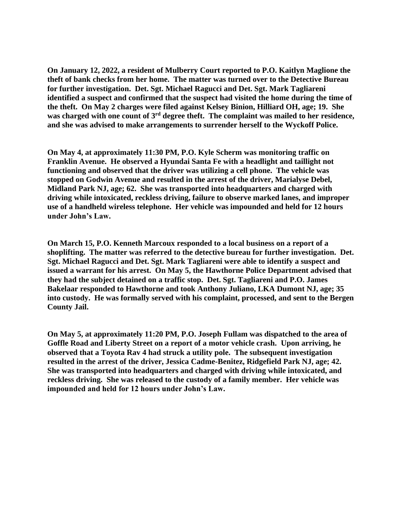**On January 12, 2022, a resident of Mulberry Court reported to P.O. Kaitlyn Maglione the theft of bank checks from her home. The matter was turned over to the Detective Bureau for further investigation. Det. Sgt. Michael Ragucci and Det. Sgt. Mark Tagliareni identified a suspect and confirmed that the suspect had visited the home during the time of the theft. On May 2 charges were filed against Kelsey Binion, Hilliard OH, age; 19. She was charged with one count of 3rd degree theft. The complaint was mailed to her residence, and she was advised to make arrangements to surrender herself to the Wyckoff Police.**

**On May 4, at approximately 11:30 PM, P.O. Kyle Scherm was monitoring traffic on Franklin Avenue. He observed a Hyundai Santa Fe with a headlight and taillight not functioning and observed that the driver was utilizing a cell phone. The vehicle was stopped on Godwin Avenue and resulted in the arrest of the driver, Marialyse Debel, Midland Park NJ, age; 62. She was transported into headquarters and charged with driving while intoxicated, reckless driving, failure to observe marked lanes, and improper use of a handheld wireless telephone. Her vehicle was impounded and held for 12 hours under John's Law.**

**On March 15, P.O. Kenneth Marcoux responded to a local business on a report of a shoplifting. The matter was referred to the detective bureau for further investigation. Det. Sgt. Michael Ragucci and Det. Sgt. Mark Tagliareni were able to identify a suspect and issued a warrant for his arrest. On May 5, the Hawthorne Police Department advised that they had the subject detained on a traffic stop. Det. Sgt. Tagliareni and P.O. James Bakelaar responded to Hawthorne and took Anthony Juliano, LKA Dumont NJ, age; 35 into custody. He was formally served with his complaint, processed, and sent to the Bergen County Jail.**

**On May 5, at approximately 11:20 PM, P.O. Joseph Fullam was dispatched to the area of Goffle Road and Liberty Street on a report of a motor vehicle crash. Upon arriving, he observed that a Toyota Rav 4 had struck a utility pole. The subsequent investigation resulted in the arrest of the driver, Jessica Cadme-Benitez, Ridgefield Park NJ, age; 42. She was transported into headquarters and charged with driving while intoxicated, and reckless driving. She was released to the custody of a family member. Her vehicle was impounded and held for 12 hours under John's Law.**